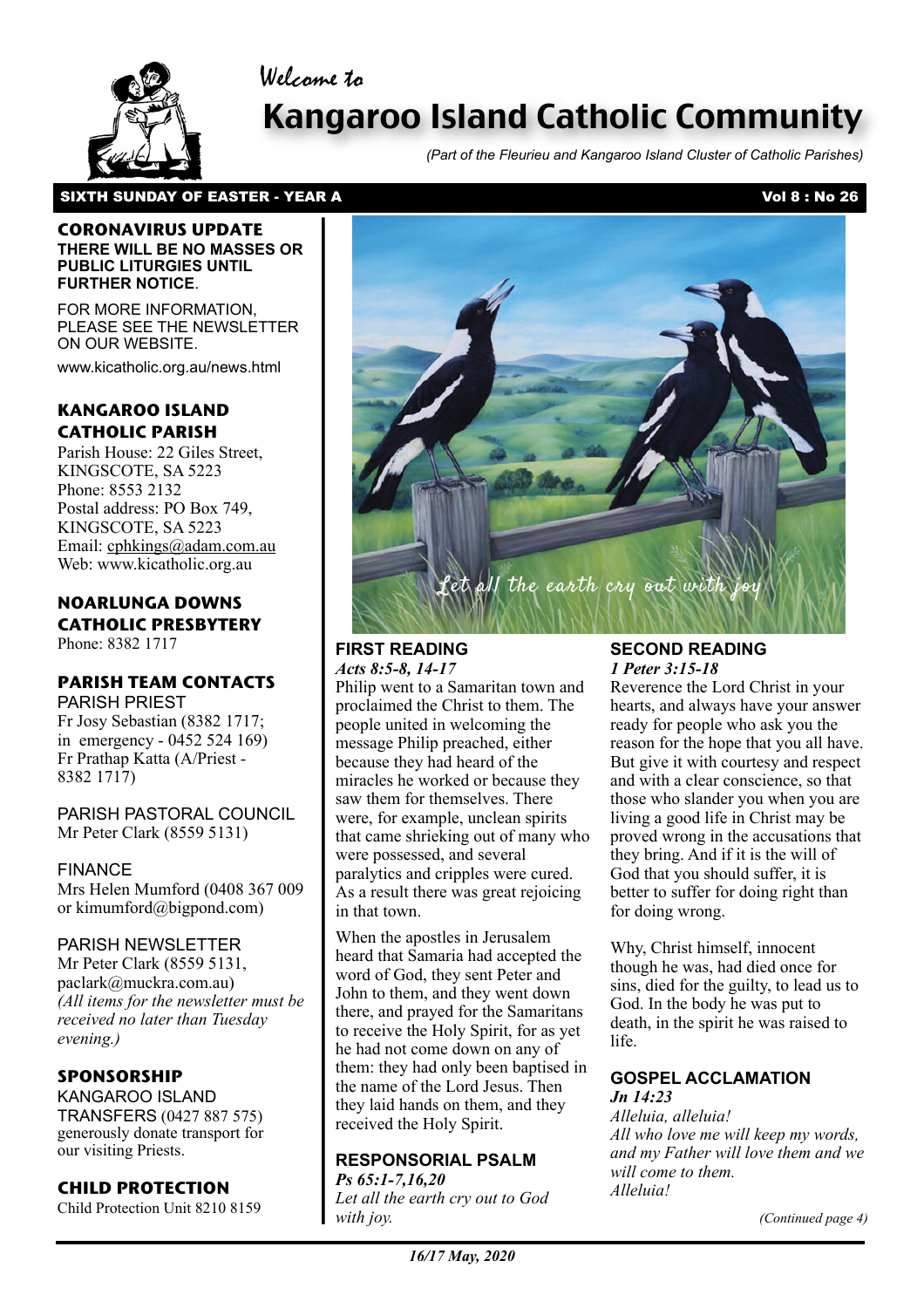Welcome to



# Kangaroo Island Catholic Community

*(Part of the Fleurieu and Kangaroo Island Cluster of Catholic Parishes)*

# SIXTH SUNDAY OF EASTER - YEAR A Vol 8 : No 26

#### **CORONAVIRUS UPDATE THERE WILL BE NO MASSES OR PUBLIC LITURGIES UNTIL FURTHER NOTICE**.

FOR MORE INFORMATION, PLEASE SEE THE NEWSLETTER ON OUR WEBSITE.

www.kicatholic.org.au/news.html

# **KANGAROO ISLAND CATHOLIC PARISH**

Parish House: 22 Giles Street, KINGSCOTE, SA 5223 Phone: 8553 2132 Postal address: PO Box 749, KINGSCOTE, SA 5223 Email: cphkings@adam.com.au Web: www.kicatholic.org.au

#### **NOARLUNGA DOWNS CATHOLIC PRESBYTERY** Phone: 8382 1717

# **PARISH TEAM CONTACTS**

PARISH PRIEST Fr Josy Sebastian (8382 1717; in emergency - 0452 524 169) Fr Prathap Katta (A/Priest - 8382 1717)

PARISH PASTORAL COUNCIL Mr Peter Clark (8559 5131)

# FINANCE

Mrs Helen Mumford (0408 367 009 or kimumford@bigpond.com)

# PARISH NEWSLETTER

Mr Peter Clark (8559 5131, paclark@muckra.com.au) *(All items for the newsletter must be received no later than Tuesday evening.)*

# **SPONSORSHIP**

KANGAROO ISLAND TRANSFERS (0427 887 575) generously donate transport for our visiting Priests.

# **CHILD PROTECTION**

Child Protection Unit 8210 8159



#### **FIRST READING** *Acts 8:5-8, 14-17*

Philip went to a Samaritan town and proclaimed the Christ to them. The people united in welcoming the message Philip preached, either because they had heard of the miracles he worked or because they saw them for themselves. There were, for example, unclean spirits that came shrieking out of many who were possessed, and several paralytics and cripples were cured. As a result there was great rejoicing in that town.

When the apostles in Jerusalem heard that Samaria had accepted the word of God, they sent Peter and John to them, and they went down there, and prayed for the Samaritans to receive the Holy Spirit, for as yet he had not come down on any of them: they had only been baptised in the name of the Lord Jesus. Then they laid hands on them, and they received the Holy Spirit.

# **RESPONSORIAL PSALM**

*Ps 65:1-7,16,20 Let all the earth cry out to God with joy.*

#### **SECOND READING** *1 Peter 3:15-18*

Reverence the Lord Christ in your hearts, and always have your answer ready for people who ask you the reason for the hope that you all have. But give it with courtesy and respect and with a clear conscience, so that those who slander you when you are living a good life in Christ may be proved wrong in the accusations that they bring. And if it is the will of God that you should suffer, it is better to suffer for doing right than for doing wrong.

Why, Christ himself, innocent though he was, had died once for sins, died for the guilty, to lead us to God. In the body he was put to death, in the spirit he was raised to life.

#### **GOSPEL ACCLAMATION** *Jn 14:23*

*Alleluia, alleluia! All who love me will keep my words, and my Father will love them and we will come to them. Alleluia!*

*(Continued page 4)*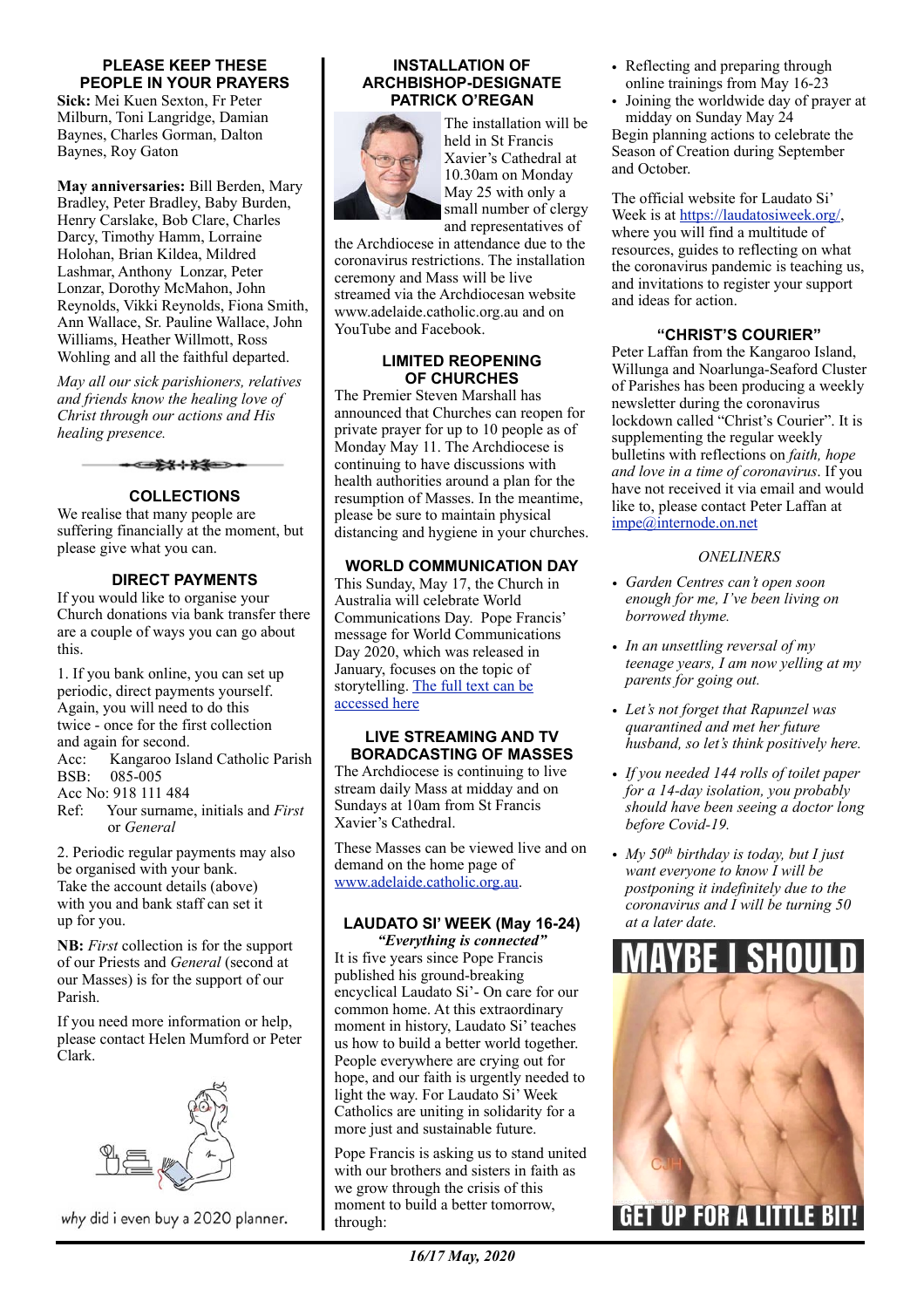#### **PLEASE KEEP THESE PEOPLE IN YOUR PRAYERS**

**Sick:** Mei Kuen Sexton, Fr Peter Milburn, Toni Langridge, Damian Baynes, Charles Gorman, Dalton Baynes, Roy Gaton

**May anniversaries:** Bill Berden, Mary Bradley, Peter Bradley, Baby Burden, Henry Carslake, Bob Clare, Charles Darcy, Timothy Hamm, Lorraine Holohan, Brian Kildea, Mildred Lashmar, Anthony Lonzar, Peter Lonzar, Dorothy McMahon, John Reynolds, Vikki Reynolds, Fiona Smith, Ann Wallace, Sr. Pauline Wallace, John Williams, Heather Willmott, Ross Wohling and all the faithful departed.

*May all our sick parishioners, relatives and friends know the healing love of Christ through our actions and His healing presence.*



#### **COLLECTIONS**

We realise that many people are suffering financially at the moment, but please give what you can.

#### **DIRECT PAYMENTS**

If you would like to organise your Church donations via bank transfer there are a couple of ways you can go about this.

1. If you bank online, you can set up periodic, direct payments yourself. Again, you will need to do this twice - once for the first collection and again for second. Acc: Kangaroo Island Catholic Parish BSB: 085-005

Acc No: 918 111 484

Ref: Your surname, initials and *First* or *General*

2. Periodic regular payments may also be organised with your bank. Take the account details (above) with you and bank staff can set it up for you.

**NB:** *First* collection is for the support of our Priests and *General* (second at our Masses) is for the support of our Parish.

If you need more information or help, please contact Helen Mumford or Peter Clark.



why did i even buy a 2020 planner.

#### **INSTALLATION OF ARCHBISHOP-DESIGNATE PATRICK O'REGAN**



The installation will be held in St Francis Xavier's Cathedral at 10.30am on Monday May 25 with only a small number of clergy

and representatives of the Archdiocese in attendance due to the coronavirus restrictions. The installation ceremony and Mass will be live streamed via the Archdiocesan website [www.adelaide.catholic.org.au](http://www.adelaide.catholic.org.au) and on YouTube and Facebook.

#### **LIMITED REOPENING OF CHURCHES**

The Premier Steven Marshall has announced that Churches can reopen for private prayer for up to 10 people as of Monday May 11. The Archdiocese is continuing to have discussions with health authorities around a plan for the resumption of Masses. In the meantime, please be sure to maintain physical distancing and hygiene in your churches.

# **WORLD COMMUNICATION DAY**

This Sunday, May 17, the Church in Australia will celebrate World Communications Day. Pope Francis' message for World Communications Day 2020, which was released in January, focuses on the topic of storytelling. [The full text can be](http://www.vatican.va/content/francesco/en/messages/communications/documents/papa-francesco_20200124_messaggio-comunicazioni-sociali.html)  [accessed here](http://www.vatican.va/content/francesco/en/messages/communications/documents/papa-francesco_20200124_messaggio-comunicazioni-sociali.html)

#### **LIVE STREAMING AND TV BORADCASTING OF MASSES**

The Archdiocese is continuing to live stream daily Mass at midday and on Sundays at 10am from St Francis Xavier's Cathedral.

These Masses can be viewed live and on demand on the home page of [www.adelaide.catholic.org.au.](http://www.adelaide.catholic.org.au)

#### **LAUDATO SI' WEEK (May 16-24)**  *"Everything is connected"*

It is five years since Pope Francis published his ground-breaking encyclical Laudato Si'- On care for our common home. At this extraordinary moment in history, Laudato Si' teaches us how to build a better world together. People everywhere are crying out for hope, and our faith is urgently needed to light the way. For Laudato Si' Week Catholics are uniting in solidarity for a more just and sustainable future.

Pope Francis is asking us to stand united with our brothers and sisters in faith as we grow through the crisis of this moment to build a better tomorrow, through:

- Reflecting and preparing through online trainings from May 16-23
- Joining the worldwide day of prayer at midday on Sunday May 24

Begin planning actions to celebrate the Season of Creation during September and October.

The official website for Laudato Si' Week is at <https://laudatosiweek.org/>, where you will find a multitude of resources, guides to reflecting on what the coronavirus pandemic is teaching us, and invitations to register your support and ideas for action.

#### **"CHRIST'S COURIER"**

Peter Laffan from the Kangaroo Island, Willunga and Noarlunga-Seaford Cluster of Parishes has been producing a weekly newsletter during the coronavirus lockdown called "Christ's Courier". It is supplementing the regular weekly bulletins with reflections on *faith, hope and love in a time of coronavirus*. If you have not received it via email and would like to, please contact Peter Laffan at [impe@internode.on.net](mailto:impe@internode.on.net)

#### *ONELINERS*

- *• Garden Centres can't open soon enough for me, I've been living on borrowed thyme.*
- *• In an unsettling reversal of my teenage years, I am now yelling at my parents for going out.*
- *• Let's not forget that Rapunzel was quarantined and met her future husband, so let's think positively here.*
- *• If you needed 144 rolls of toilet paper for a 14-day isolation, you probably should have been seeing a doctor long before Covid-19.*
- *• My 50th birthday is today, but I just want everyone to know I will be postponing it indefinitely due to the coronavirus and I will be turning 50 at a later date.*

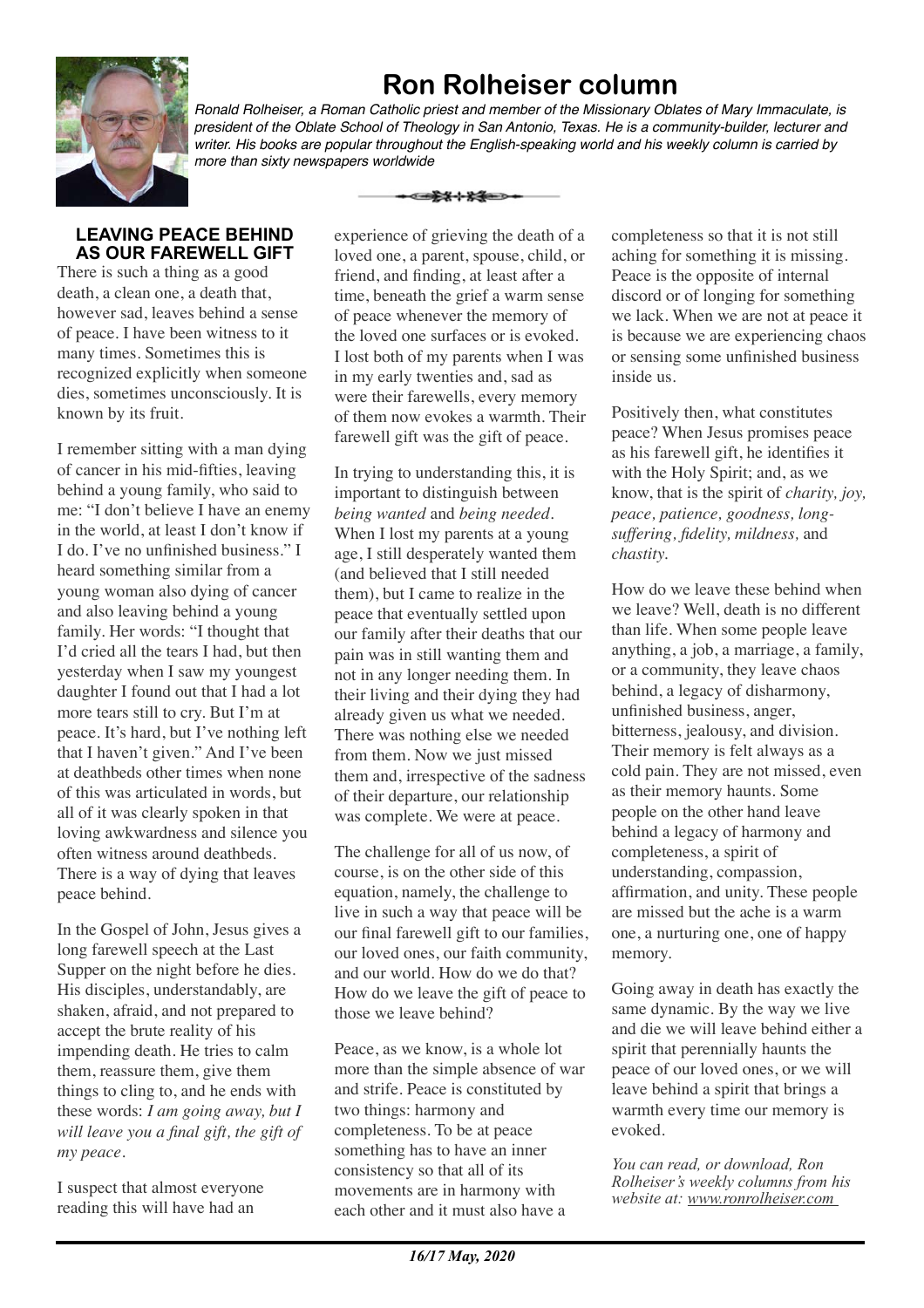# **Ron Rolheiser column**



*Ronald Rolheiser, a Roman Catholic priest and member of the Missionary Oblates of Mary Immaculate, is president of the Oblate School of Theology in San Antonio, Texas. He is a community-builder, lecturer and writer. His books are popular throughout the English-speaking world and his weekly column is carried by more than sixty newspapers worldwide*

# **LEAVING PEACE BEHIND AS OUR FAREWELL GIFT**

There is such a thing as a good death, a clean one, a death that, however sad, leaves behind a sense of peace. I have been witness to it many times. Sometimes this is recognized explicitly when someone dies, sometimes unconsciously. It is known by its fruit.

I remember sitting with a man dying of cancer in his mid-fifties, leaving behind a young family, who said to me: "I don't believe I have an enemy in the world, at least I don't know if I do. I've no unfinished business." I heard something similar from a young woman also dying of cancer and also leaving behind a young family. Her words: "I thought that I'd cried all the tears I had, but then yesterday when I saw my youngest daughter I found out that I had a lot more tears still to cry. But I'm at peace. It's hard, but I've nothing left that I haven't given." And I've been at deathbeds other times when none of this was articulated in words, but all of it was clearly spoken in that loving awkwardness and silence you often witness around deathbeds. There is a way of dying that leaves peace behind.

In the Gospel of John, Jesus gives a long farewell speech at the Last Supper on the night before he dies. His disciples, understandably, are shaken, afraid, and not prepared to accept the brute reality of his impending death. He tries to calm them, reassure them, give them things to cling to, and he ends with these words: *I am going away, but I will leave you a final gift, the gift of my peace*.

I suspect that almost everyone reading this will have had an

experience of grieving the death of a loved one, a parent, spouse, child, or friend, and finding, at least after a time, beneath the grief a warm sense of peace whenever the memory of the loved one surfaces or is evoked. I lost both of my parents when I was in my early twenties and, sad as were their farewells, every memory of them now evokes a warmth. Their farewell gift was the gift of peace.

</u>

In trying to understanding this, it is important to distinguish between *being wanted* and *being needed.* When I lost my parents at a young age, I still desperately wanted them (and believed that I still needed them), but I came to realize in the peace that eventually settled upon our family after their deaths that our pain was in still wanting them and not in any longer needing them. In their living and their dying they had already given us what we needed. There was nothing else we needed from them. Now we just missed them and, irrespective of the sadness of their departure, our relationship was complete. We were at peace.

The challenge for all of us now, of course, is on the other side of this equation, namely, the challenge to live in such a way that peace will be our final farewell gift to our families, our loved ones, our faith community, and our world. How do we do that? How do we leave the gift of peace to those we leave behind?

Peace, as we know, is a whole lot more than the simple absence of war and strife. Peace is constituted by two things: harmony and completeness. To be at peace something has to have an inner consistency so that all of its movements are in harmony with each other and it must also have a

completeness so that it is not still aching for something it is missing. Peace is the opposite of internal discord or of longing for something we lack. When we are not at peace it is because we are experiencing chaos or sensing some unfinished business inside us.

Positively then, what constitutes peace? When Jesus promises peace as his farewell gift, he identifies it with the Holy Spirit; and, as we know, that is the spirit of *charity, joy, peace, patience, goodness, longsuffering, fidelity, mildness,* and *chastity.*

How do we leave these behind when we leave? Well, death is no different than life. When some people leave anything, a job, a marriage, a family, or a community, they leave chaos behind, a legacy of disharmony, unfinished business, anger, bitterness, jealousy, and division. Their memory is felt always as a cold pain. They are not missed, even as their memory haunts. Some people on the other hand leave behind a legacy of harmony and completeness, a spirit of understanding, compassion, affirmation, and unity. These people are missed but the ache is a warm one, a nurturing one, one of happy memory.

Going away in death has exactly the same dynamic. By the way we live and die we will leave behind either a spirit that perennially haunts the peace of our loved ones, or we will leave behind a spirit that brings a warmth every time our memory is evoked.

*You can read, or download, Ron Rolheiser's weekly columns from his website at: www.ronrolheiser.com*